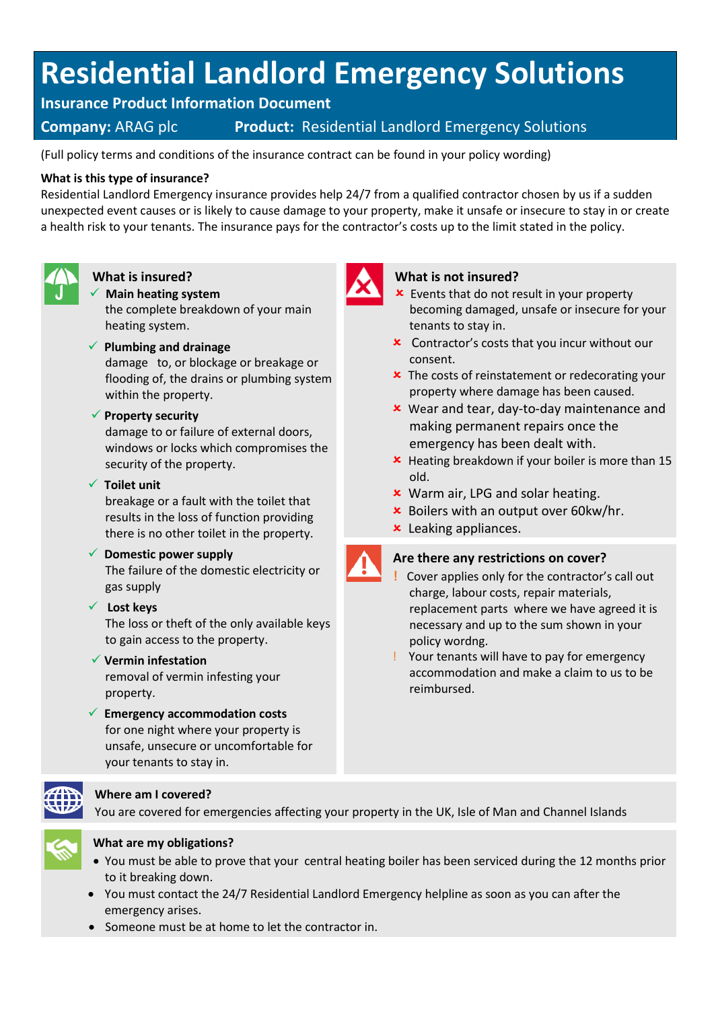# **Residential Landlord Emergency Solutions**

**Insurance Product Information Document**

# **Company:** ARAG plc **Product:** Residential Landlord Emergency Solutions

(Full policy terms and conditions of the insurance contract can be found in your policy wording)

#### **What is this type of insurance?**

Residential Landlord Emergency insurance provides help 24/7 from a qualified contractor chosen by us if a sudden unexpected event causes or is likely to cause damage to your property, make it unsafe or insecure to stay in or create a health risk to your tenants. The insurance pays for the contractor's costs up to the limit stated in the policy.



# **What is insured?**

✓ **Main heating system** the complete breakdown of your main heating system.

## ✓ **Plumbing and drainage**

damage to, or blockage or breakage or flooding of, the drains or plumbing system within the property.

### ✓ **Property security**

damage to or failure of external doors, windows or locks which compromises the security of the property.

#### ✓ **Toilet unit**

breakage or a fault with the toilet that results in the loss of function providing there is no other toilet in the property.

# ✓ **Domestic power supply**

The failure of the domestic electricity or gas supply

# ✓ **Lost keys**

The loss or theft of the only available keys to gain access to the property.

#### ✓ **Vermin infestation**

removal of vermin infesting your property.

✓ **Emergency accommodation costs** for one night where your property is unsafe, unsecure or uncomfortable for your tenants to stay in.



# **Where am I covered?**

You are covered for emergencies affecting your property in the UK, Isle of Man and Channel Islands



# **What are my obligations?**

- You must be able to prove that your central heating boiler has been serviced during the 12 months prior to it breaking down.
- You must contact the 24/7 Residential Landlord Emergency helpline as soon as you can after the emergency arises.
- Someone must be at home to let the contractor in.



#### **What is not insured?**

- **x** Events that do not result in your property becoming damaged, unsafe or insecure for your tenants to stay in.
- Contractor's costs that you incur without our consent.
- The costs of reinstatement or redecorating your property where damage has been caused.
- Wear and tear, day-to-day maintenance and making permanent repairs once the emergency has been dealt with.
- Heating breakdown if your boiler is more than 15 old.
- Warm air, LPG and solar heating.
- $\times$  Boilers with an output over 60kw/hr.
- Leaking appliances.



#### **Are there any restrictions on cover?**

- **!** Cover applies only for the contractor's call out charge, labour costs, repair materials, replacement parts where we have agreed it is necessary and up to the sum shown in your policy wordng.
- ! Your tenants will have to pay for emergency accommodation and make a claim to us to be reimbursed.